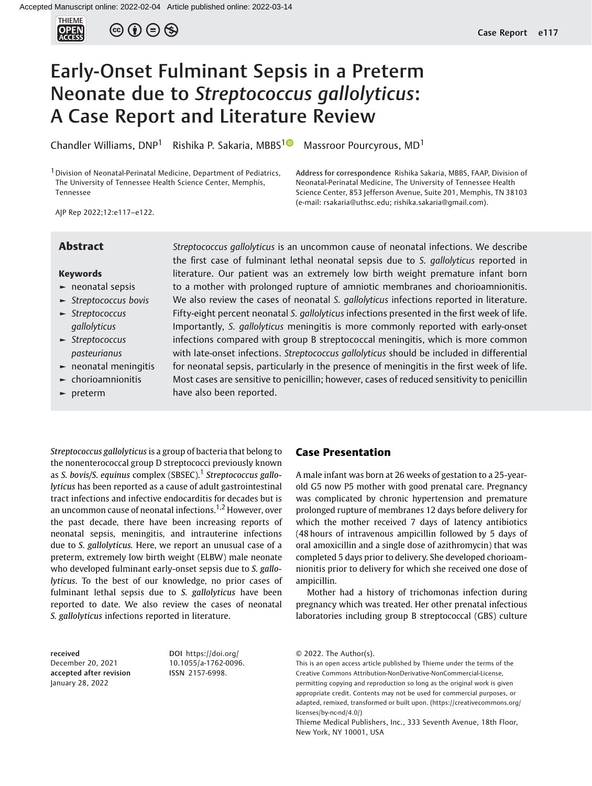

 $\circledcirc$  (i)  $\ominus$   $\circledcirc$ 

# Early-Onset Fulminant Sepsis in a Preterm Neonate due to Streptococcus gallolyticus: A Case Report and Literature Review

Chandler Williams, DNP<sup>[1](https://orcid.org/0000-0002-3741-2506)</sup> Rishika P. Sakaria, MBBS<sup>10</sup> Massroor Pourcyrous, MD<sup>1</sup>

<sup>1</sup> Division of Neonatal-Perinatal Medicine, Department of Pediatrics, The University of Tennessee Health Science Center, Memphis, Tennessee

Address for correspondence Rishika Sakaria, MBBS, FAAP, Division of Neonatal-Perinatal Medicine, The University of Tennessee Health Science Center, 853 Jefferson Avenue, Suite 201, Memphis, TN 38103 (e-mail: [rsakaria@uthsc.edu](mailto:rsakaria@uthsc.edu); [rishika.sakaria@gmail.com](mailto:rishika.sakaria@gmail.com)).

AJP Rep 2022;12:e117–e122.

### Keywords

- ► neonatal sepsis
- ► Streptococcus bovis
- ► Streptococcus gallolyticus
- ► Streptococcus pasteurianus
- ► neonatal meningitis
- ► chorioamnionitis
- ► preterm

**Abstract** Streptococcus gallolyticus is an uncommon cause of neonatal infections. We describe the first case of fulminant lethal neonatal sepsis due to S. gallolyticus reported in literature. Our patient was an extremely low birth weight premature infant born to a mother with prolonged rupture of amniotic membranes and chorioamnionitis. We also review the cases of neonatal S. *gallolyticus* infections reported in literature. Fifty-eight percent neonatal S. gallolyticus infections presented in the first week of life. Importantly, S. gallolyticus meningitis is more commonly reported with early-onset infections compared with group B streptococcal meningitis, which is more common with late-onset infections. Streptococcus gallolyticus should be included in differential for neonatal sepsis, particularly in the presence of meningitis in the first week of life. Most cases are sensitive to penicillin; however, cases of reduced sensitivity to penicillin have also been reported.

Streptococcus gallolyticus is a group of bacteria that belong to the nonenterococcal group D streptococci previously known as S. bovis/S. equinus complex (SBSEC).<sup>1</sup> Streptococcus gallolyticus has been reported as a cause of adult gastrointestinal tract infections and infective endocarditis for decades but is an uncommon cause of neonatal infections.<sup>1,2</sup> However, over the past decade, there have been increasing reports of neonatal sepsis, meningitis, and intrauterine infections due to S. gallolyticus. Here, we report an unusual case of a preterm, extremely low birth weight (ELBW) male neonate who developed fulminant early-onset sepsis due to S. gallolyticus. To the best of our knowledge, no prior cases of fulminant lethal sepsis due to S. gallolyticus have been reported to date. We also review the cases of neonatal S. gallolyticus infections reported in literature.

received December 20, 2021 accepted after revision January 28, 2022

DOI [https://doi.org/](https://doi.org/10.1055/a-1762-0096) [10.1055/a-1762-0096](https://doi.org/10.1055/a-1762-0096). ISSN 2157-6998.

# Case Presentation

A male infant was born at 26 weeks of gestation to a 25-yearold G5 now P5 mother with good prenatal care. Pregnancy was complicated by chronic hypertension and premature prolonged rupture of membranes 12 days before delivery for which the mother received 7 days of latency antibiotics (48 hours of intravenous ampicillin followed by 5 days of oral amoxicillin and a single dose of azithromycin) that was completed 5 days prior to delivery. She developed chorioamnionitis prior to delivery for which she received one dose of ampicillin.

Mother had a history of trichomonas infection during pregnancy which was treated. Her other prenatal infectious laboratories including group B streptococcal (GBS) culture

<sup>© 2022.</sup> The Author(s).

This is an open access article published by Thieme under the terms of the Creative Commons Attribution-NonDerivative-NonCommercial-License, permitting copying and reproduction so long as the original work is given appropriate credit. Contents may not be used for commercial purposes, or adapted, remixed, transformed or built upon. (https://creativecommons.org/ licenses/by-nc-nd/4.0/)

Thieme Medical Publishers, Inc., 333 Seventh Avenue, 18th Floor, New York, NY 10001, USA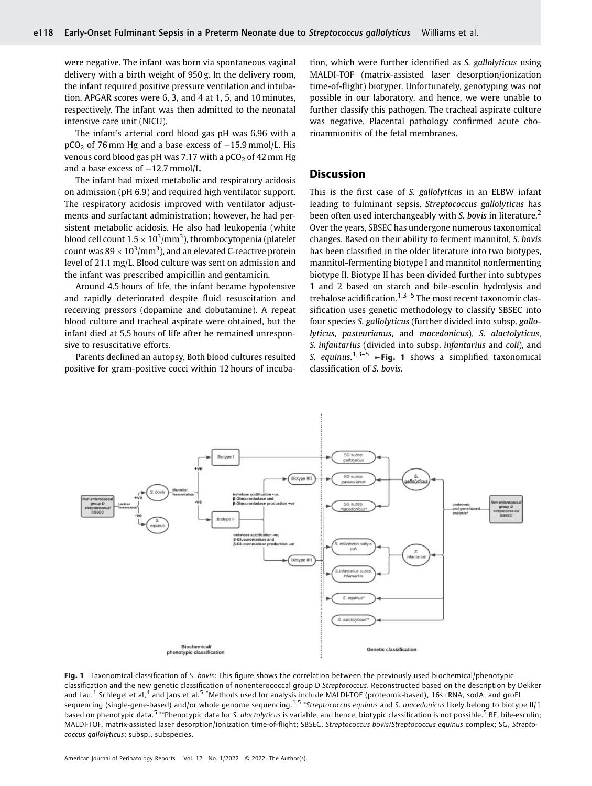were negative. The infant was born via spontaneous vaginal delivery with a birth weight of 950 g. In the delivery room, the infant required positive pressure ventilation and intubation. APGAR scores were 6, 3, and 4 at 1, 5, and 10 minutes, respectively. The infant was then admitted to the neonatal intensive care unit (NICU).

The infant's arterial cord blood gas pH was 6.96 with a  $pCO<sub>2</sub>$  of 76 mm Hg and a base excess of  $-15.9$  mmol/L. His venous cord blood gas pH was 7.17 with a  $pCO<sub>2</sub>$  of 42 mm Hg and a base excess of  $-12.7$  mmol/L.

The infant had mixed metabolic and respiratory acidosis on admission (pH 6.9) and required high ventilator support. The respiratory acidosis improved with ventilator adjustments and surfactant administration; however, he had persistent metabolic acidosis. He also had leukopenia (white blood cell count  $1.5 \times 10^3/\text{mm}^3$ ), thrombocytopenia (platelet count was  $89 \times 10^3/\text{mm}^3$ ), and an elevated C-reactive protein level of 21.1 mg/L. Blood culture was sent on admission and the infant was prescribed ampicillin and gentamicin.

Around 4.5 hours of life, the infant became hypotensive and rapidly deteriorated despite fluid resuscitation and receiving pressors (dopamine and dobutamine). A repeat blood culture and tracheal aspirate were obtained, but the infant died at 5.5 hours of life after he remained unresponsive to resuscitative efforts.

Parents declined an autopsy. Both blood cultures resulted positive for gram-positive cocci within 12 hours of incubation, which were further identified as S. gallolyticus using MALDI-TOF (matrix-assisted laser desorption/ionization time-of-flight) biotyper. Unfortunately, genotyping was not possible in our laboratory, and hence, we were unable to further classify this pathogen. The tracheal aspirate culture was negative. Placental pathology confirmed acute chorioamnionitis of the fetal membranes.

# **Discussion**

This is the first case of S. gallolyticus in an ELBW infant leading to fulminant sepsis. Streptococcus gallolyticus has been often used interchangeably with S. bovis in literature.<sup>2</sup> Over the years, SBSEC has undergone numerous taxonomical changes. Based on their ability to ferment mannitol, S. bovis has been classified in the older literature into two biotypes, mannitol-fermenting biotype I and mannitol nonfermenting biotype II. Biotype II has been divided further into subtypes 1 and 2 based on starch and bile-esculin hydrolysis and trehalose acidification. $1,3-5$  The most recent taxonomic classification uses genetic methodology to classify SBSEC into four species S. gallolyticus (further divided into subsp. gallolyticus, pasteurianus, and macedonicus), S. alactolyticus, S. infantarius (divided into subsp. infantarius and coli), and S. equinus.<sup>1,3-5</sup>  $\blacktriangleright$  **Fig. 1** shows a simplified taxonomical classification of S. bovis.



Fig. 1 Taxonomical classification of S. bovis: This figure shows the correlation between the previously used biochemical/phenotypic classification and the new genetic classification of nonenterococcal group D Streptococcus. Reconstructed based on the description by Dekker and Lau,<sup>1</sup> Schlegel et al,<sup>4</sup> and Jans et al.<sup>5</sup> #Methods used for analysis include MALDI-TOF (proteomic-based), 16s rRNA, sodA, and groEL sequencing (single-gene-based) and/or whole genome sequencing.<sup>1,5</sup> \*Streptococcus equinus and S. macedonicus likely belong to biotype II/1 based on phenotypic data.<sup>5</sup> \*\*Phenotypic data for S. alactolyticus is variable, and hence, biotypic classification is not possible.<sup>5</sup> BE, bile-esculin; MALDI-TOF, matrix-assisted laser desorption/ionization time-of-flight; SBSEC, Streptococcus bovis/Streptococcus equinus complex; SG, Streptococcus gallolyticus; subsp., subspecies.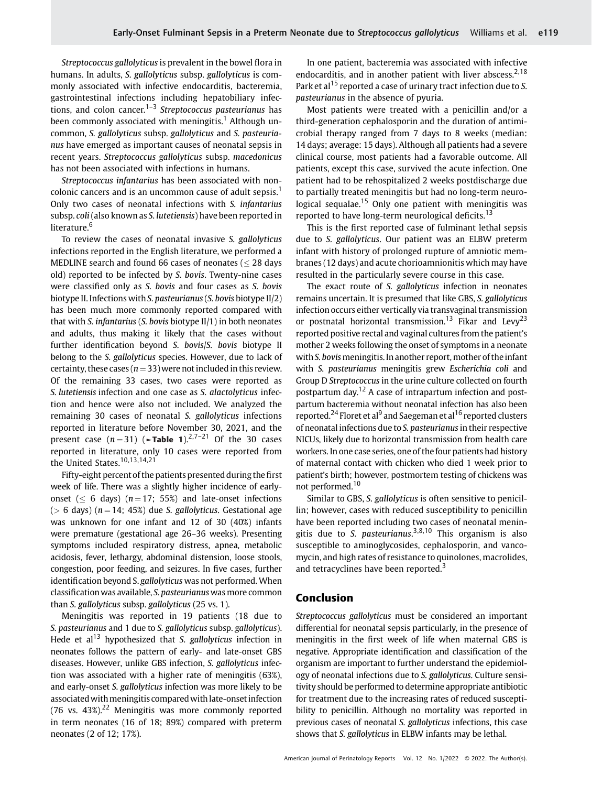Streptococcus gallolyticus is prevalent in the bowel flora in humans. In adults, S. gallolyticus subsp. gallolyticus is commonly associated with infective endocarditis, bacteremia, gastrointestinal infections including hepatobiliary infections, and colon cancer.<sup>1–3</sup> Streptococcus pasteurianus has been commonly associated with meningitis.<sup>1</sup> Although uncommon, S. gallolyticus subsp. gallolyticus and S. pasteurianus have emerged as important causes of neonatal sepsis in recent years. Streptococcus gallolyticus subsp. macedonicus has not been associated with infections in humans.

Streptococcus infantarius has been associated with noncolonic cancers and is an uncommon cause of adult sepsis.<sup>1</sup> Only two cases of neonatal infections with S. infantarius subsp. coli(also known as S. lutetiensis) have been reported in literature.<sup>6</sup>

To review the cases of neonatal invasive S. gallolyticus infections reported in the English literature, we performed a MEDLINE search and found 66 cases of neonates ( $\leq$  28 days old) reported to be infected by S. bovis. Twenty-nine cases were classified only as S. bovis and four cases as S. bovis biotype II. Infections with S. pasteurianus (S. bovis biotype II/2) has been much more commonly reported compared with that with S. infantarius (S. bovis biotype II/1) in both neonates and adults, thus making it likely that the cases without further identification beyond S. bovis/S. bovis biotype II belong to the S. gallolyticus species. However, due to lack of certainty, these cases ( $n = 33$ ) were not included in this review. Of the remaining 33 cases, two cases were reported as S. lutetiensis infection and one case as S. alactolyticus infection and hence were also not included. We analyzed the remaining 30 cases of neonatal S. gallolyticus infections reported in literature before November 30, 2021, and the present case  $(n=31)$  ( $\neg$ Table 1).<sup>2,7–21</sup> Of the 30 cases reported in literature, only 10 cases were reported from the United States.<sup>10,13,14,21</sup>

Fifty-eight percent of the patients presented during the first week of life. There was a slightly higher incidence of earlyonset ( $\leq 6$  days) ( $n = 17$ ; 55%) and late-onset infections ( $> 6$  days) ( $n = 14$ ; 45%) due S. gallolyticus. Gestational age was unknown for one infant and 12 of 30 (40%) infants were premature (gestational age 26–36 weeks). Presenting symptoms included respiratory distress, apnea, metabolic acidosis, fever, lethargy, abdominal distension, loose stools, congestion, poor feeding, and seizures. In five cases, further identification beyond S. gallolyticus was not performed. When classification was available, S. pasteurianus was more common than S. gallolyticus subsp. gallolyticus (25 vs. 1).

Meningitis was reported in 19 patients (18 due to S. pasteurianus and 1 due to S. gallolyticus subsp. gallolyticus). Hede et  $al<sup>13</sup>$  hypothesized that S. gallolyticus infection in neonates follows the pattern of early- and late-onset GBS diseases. However, unlike GBS infection, S. gallolyticus infection was associated with a higher rate of meningitis (63%), and early-onset S. gallolyticus infection was more likely to be associated with meningitis compared with late-onset infection (76 vs.  $43\%$ ).<sup>22</sup> Meningitis was more commonly reported in term neonates (16 of 18; 89%) compared with preterm neonates (2 of 12; 17%).

In one patient, bacteremia was associated with infective endocarditis, and in another patient with liver abscess.<sup>2,18</sup> Park et al<sup>15</sup> reported a case of urinary tract infection due to S. pasteurianus in the absence of pyuria.

Most patients were treated with a penicillin and/or a third-generation cephalosporin and the duration of antimicrobial therapy ranged from 7 days to 8 weeks (median: 14 days; average: 15 days). Although all patients had a severe clinical course, most patients had a favorable outcome. All patients, except this case, survived the acute infection. One patient had to be rehospitalized 2 weeks postdischarge due to partially treated meningitis but had no long-term neurological sequalae.<sup>15</sup> Only one patient with meningitis was reported to have long-term neurological deficits.<sup>13</sup>

This is the first reported case of fulminant lethal sepsis due to S. gallolyticus. Our patient was an ELBW preterm infant with history of prolonged rupture of amniotic membranes (12 days) and acute chorioamnionitis which may have resulted in the particularly severe course in this case.

The exact route of S. gallolyticus infection in neonates remains uncertain. It is presumed that like GBS, S. gallolyticus infection occurs either vertically via transvaginal transmission or postnatal horizontal transmission.<sup>13</sup> Fikar and Levy<sup>23</sup> reported positive rectal and vaginal cultures from the patient's mother 2 weeks following the onset of symptoms in a neonate with S. bovis meningitis. In another report, mother of the infant with S. pasteurianus meningitis grew Escherichia coli and Group D Streptococcus in the urine culture collected on fourth postpartum day.<sup>12</sup> A case of intrapartum infection and postpartum bacteremia without neonatal infection has also been reported.<sup>24</sup> Floret et al<sup>9</sup> and Saegeman et al<sup>16</sup> reported clusters of neonatal infections due to S. pasteurianus in their respective NICUs, likely due to horizontal transmission from health care workers. In one case series, one of the four patients had history of maternal contact with chicken who died 1 week prior to patient's birth; however, postmortem testing of chickens was not performed.<sup>10</sup>

Similar to GBS, S. gallolyticus is often sensitive to penicillin; however, cases with reduced susceptibility to penicillin have been reported including two cases of neonatal meningitis due to S. pasteurianus.<sup>3,8,10</sup> This organism is also susceptible to aminoglycosides, cephalosporin, and vancomycin, and high rates of resistance to quinolones, macrolides, and tetracyclines have been reported.<sup>3</sup>

# Conclusion

Streptococcus gallolyticus must be considered an important differential for neonatal sepsis particularly, in the presence of meningitis in the first week of life when maternal GBS is negative. Appropriate identification and classification of the organism are important to further understand the epidemiology of neonatal infections due to S. gallolyticus. Culture sensitivity should be performed to determine appropriate antibiotic for treatment due to the increasing rates of reduced susceptibility to penicillin. Although no mortality was reported in previous cases of neonatal S. gallolyticus infections, this case shows that S. gallolyticus in ELBW infants may be lethal.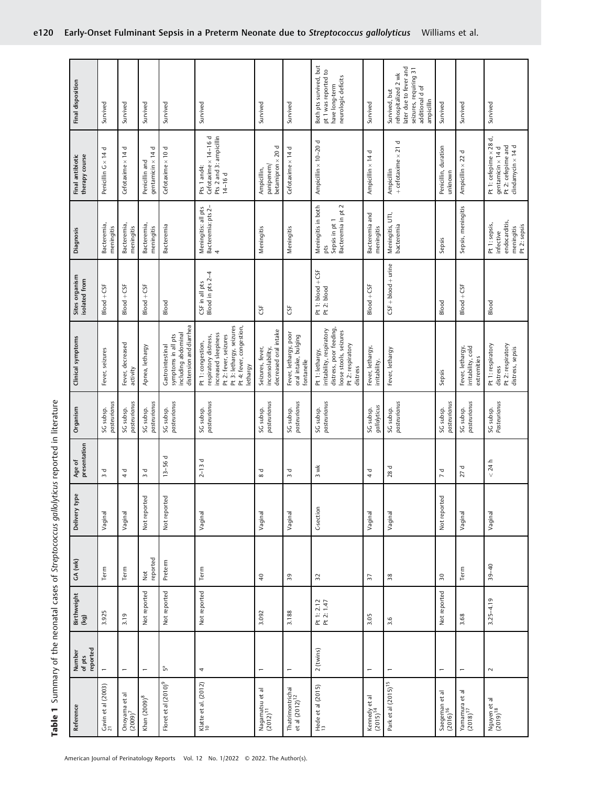| Reference                                      | reported<br>Number<br>of pts | Birthweight<br>(kg)      | GA (wk)               | Delivery type | presentation<br>Age of             | Organism                  | Clinical symptoms                                                                                                                                               | Sites organism<br>isolated from    | Diagnosis                                                                 | Final antibiotic<br>therapy course                                                                            | Final disposition                                                                                                         |
|------------------------------------------------|------------------------------|--------------------------|-----------------------|---------------|------------------------------------|---------------------------|-----------------------------------------------------------------------------------------------------------------------------------------------------------------|------------------------------------|---------------------------------------------------------------------------|---------------------------------------------------------------------------------------------------------------|---------------------------------------------------------------------------------------------------------------------------|
| Gavin et al $(2003)$<br>$21$                   |                              | 3.925                    | Term                  | Vaginal       | $\mathbf \sigma$<br>$\sim$         | pasteurianus<br>SG subsp. | Fever, seizures                                                                                                                                                 | $Block + CSF$                      | Bacteremia,<br>meningitis                                                 | Penicillin G × 14 d                                                                                           | Survived                                                                                                                  |
| Onoyama et al $(2009)^7$                       |                              | 3.19                     | Term                  | Vaginal       | $\frac{d}{4}$                      | pasteurianus<br>SG subsp. | Fever, decreased<br>activity                                                                                                                                    | $Block + CSF$                      | Bacteremia,<br>meningitis                                                 | Cefotaxime × 14 d                                                                                             | Survived                                                                                                                  |
| Khan $(2009)^8$                                |                              | Not reported             | reported<br>$\rm Net$ | Not reported  | ᠊ᢦ<br>$\sim$                       | pasteurianus<br>SG subsp. | Apnea, lethargy                                                                                                                                                 | $Block + CSF$                      | Bacteremia,<br>meningitis                                                 | Δ<br>gentamicin $\times$ 14<br>Penicillin and                                                                 | Survived                                                                                                                  |
| Floret et al (2010) <sup>9</sup>               | $\mathring{\mathbb{P}}$      | Not reported             | Preterm               | Not reported  | $13 - 56d$                         | pasteurianus<br>SG subsp. | distension and diarrhea<br>including abdominal<br>symptoms in all pts<br>Gastrointestinal                                                                       | Blood                              | Bacteremia                                                                | Cefotaxime $\times$ 10 d                                                                                      | Survived                                                                                                                  |
| Klatte et al. $(2012)$                         | 4                            | Not reported             | Term                  | Vaginal       | $2 - 13d$                          | pasteurianus<br>SG subsp. | Pt 3: lethargy, seizures<br>Pt 4: fever, congestion,<br>increased sleepiness<br>Pt 2: fever, seizures<br>respiratory distress,<br>Pt 1: congestion,<br>lethargy | CSF in all pts<br>Blood in pts 2-4 | Meningitis: all pts<br>Bacteremia: pts 2-<br>4                            | Cefotaxime × 14-16 d<br>Pts 2 and 3: ampicillin<br>Pts 1 and4:<br>14-16 d                                     | Survived                                                                                                                  |
| Nagamatsu et al<br>(2012) <sup>11</sup>        | $\overline{ }$               | 3.092                    | $\overline{4}$        | Vaginal       | $\mathbf \sigma$<br>${}^{\circ}$   | SG subsp.<br>pasteurianus | decreased oral intake<br>Seizures, fever,<br>inconsolability,                                                                                                   | CSF                                | Meningitis                                                                | betamipron × 20 d<br>panipenem/<br>Ampicillin,                                                                | Survived                                                                                                                  |
| Thatrimontrichai<br>et al (2012) <sup>12</sup> |                              | 3.188                    | $\overline{3}9$       | Vaginal       | Δ<br>$\sim$                        | pasteurianus<br>SG subsp. | Fever, lethargy, poor<br>oral intake, bulging<br>fontanelle                                                                                                     | CSF                                | Meningitis                                                                | Cefotaxime × 14 d                                                                                             | Survived                                                                                                                  |
| Hede et al (2015)<br>13                        | 2 (twins)                    | Pt 1: 2.12<br>Pt 2: 1.47 | $32$                  | C-section     | 3 wk                               | SG subsp.<br>pasteurianus | distress, poor feeding,<br>irritability, respiratory<br>loose stools, seizures<br>Pt 2: respiratory<br>Pt 1: lethargy,<br>distress                              | Pt 1: blood + CSF<br>Pt 2: blood   | Meningitis in both<br>Bacteremia in pt 2<br>Sepsis in pt 1<br>pts         | Ampicillin × 10-20 d                                                                                          | Both pts survived, but<br>pt 1 was reported to<br>neurologic deficits<br>have long-term                                   |
| Kennedy et al<br>$(2015)^{14}$                 |                              | 3.05                     | 57                    | Vaginal       | ᢦ<br>4                             | gallolyticus<br>SG subsp. | Fever, lethargy,<br>irritability.                                                                                                                               | $Block + CSF$                      | Bacteremia and<br>meningitis                                              | Ampicillin × 14 d                                                                                             | Survived                                                                                                                  |
| Park et al (2015) <sup>15</sup>                |                              | 3.6                      | 38                    | Vaginal       | 28 d                               | SG subsp.<br>pasteurianus | Fever, lethargy                                                                                                                                                 | $CSF + blood + urine$              | Meningitis, UTI,<br>bacteremia                                            | Δ<br>Ampicillin<br>+ cefotaxime × 21                                                                          | later due to fever and<br>seizures, requiring 31<br>rehospitalized 2 wk<br>additional d of<br>Survived, but<br>ampicillin |
| Saegeman et al<br>(2016) <sup>16</sup>         | $\overline{ }$               | Not reported             | 30                    | Not reported  | $\mathbf \sigma$<br>$\overline{a}$ | pasteurianus<br>SG subsp. | Sepsis                                                                                                                                                          | Blood                              | Sepsis                                                                    | Penicillin, duration<br>unknown                                                                               | Survived                                                                                                                  |
| Yamamura et al $(2018)^{17}$                   |                              | 3.68                     | Term                  | Vaginal       | p<br>27                            | pasteurianus<br>SG subsp. | Fever, lethargy,<br>irritability, cold<br>extremities                                                                                                           | $Block + C5F$                      | Sepsis, meningitis                                                        | Ampicillin x 22 d                                                                                             | Survived                                                                                                                  |
| Nguyen et al<br>(2019) <sup>18</sup>           | $\sim$                       | $3.25 - 4.19$            | $39 - 40$             | Vaginal       | < 24 h                             | SG subsp.<br>Pasteurianus | Pt 1: respiratory<br>Pt 2: respiratory<br>distress, sepsis<br>distress                                                                                          | Blood                              | endocarditis,<br>Pt 1: sepsis,<br>meningitis<br>Pt 2: sepsis<br>infective | J<br>Pt 1: cefepime $\times$ 28<br>$clindamycin \times 14d$<br>gentamicin $\times$ 14 d<br>Pt 2: cefepime and | Survived                                                                                                                  |

Table 1 Summary of the neonatal cases of Streptococcus gallolyticus reported in literature

Table 1 Summary of the neonatal cases of Streptococcus gallolyticus reported in literature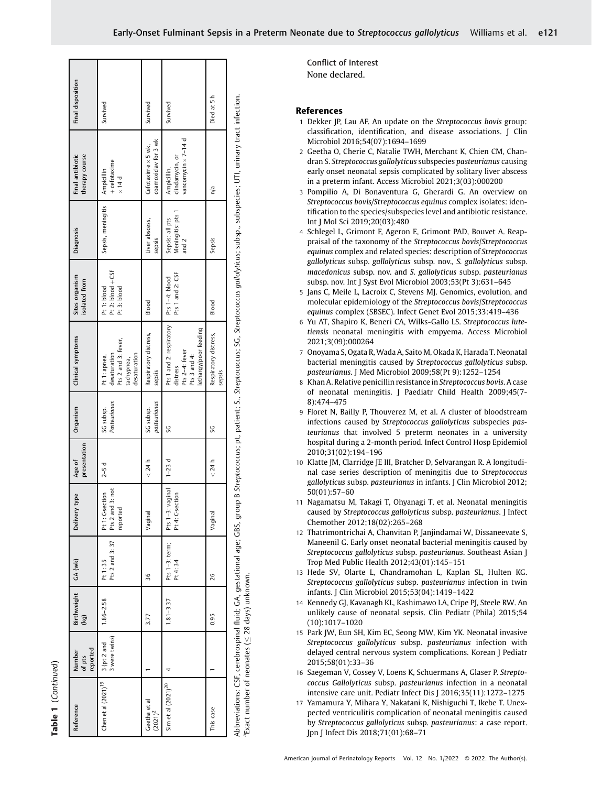| Reference                                            | reported<br>Number<br>of pts | <b>Birthweight</b><br>(ex) | GA (wk)                    | Delivery type                                   | presentation<br>Age of | Organism                  | Clinical symptoms                                                                                                                                                                                           | Sites organism<br>isolated from                 | <b>Diagnosis</b>                              | Final antibiotic<br>therapy course                    | Final disposition |
|------------------------------------------------------|------------------------------|----------------------------|----------------------------|-------------------------------------------------|------------------------|---------------------------|-------------------------------------------------------------------------------------------------------------------------------------------------------------------------------------------------------------|-------------------------------------------------|-----------------------------------------------|-------------------------------------------------------|-------------------|
| Chen et al $(2021)^{19}$                             | 3 were twins)<br>3 (pt 2 and | 1.86-2.58                  | Pts 2 and 3: 37<br>Pt 1:35 | Pts 2 and 3: not<br>Pt 1: C-section<br>reported | $2-5d$                 | Pasteurianus<br>SG subsp. | Pts 2 and 3: fever,<br>desaturation<br>desaturation<br>Pt 1: apnea,<br>tachypnea,                                                                                                                           | Pt 2: blood + CSF<br>Pt 1: blood<br>Pt 3: blood | Sepsis, meningitis                            | + cefotaxime<br>Ampicillin<br>$\times$ 14 d           | Survived          |
| Geetha et al<br>$(2021)^2$                           |                              | 3.77                       | 36                         | Vaginal                                         | < 24 h                 | pasteurianus<br>SG subsp. | Respiratory distress,<br>sepsis                                                                                                                                                                             | Blood                                           | Liver abscess,<br>sepsis                      | coamoxiclav for 3 wk<br>Cefotaxime $\times$ 5 wk,     | Survived          |
| Sim et al $(2021)^{20}$                              |                              | $1.81 - 3.37$              | Pts 1-3: term;<br>Pt 4:34  | Pts 1-3: vaginal<br>Pt 4: C-section             | $1-23d$                | Š                         | Pts 1 and 2: respiratory<br>lethargy/poor feeding<br>Pts 2-4: fever<br>Pts 3 and 4:<br>distress                                                                                                             | Pts 1 and 2: CSF<br>Pts 1-4: blood              | Meningitis: pts 1<br>Sepsis: all pts<br>and 2 | vancomycin × 7-14 d<br>clindamycin, or<br>Ampicillin, | Survived          |
| This case                                            |                              | 0.95                       | 26                         | Vaginal                                         | < 24 h                 | Š                         | Respiratory distress,<br>sepsis                                                                                                                                                                             | Blood                                           | Sepsis                                        | n/a                                                   | Died at 5h        |
| "Exact number of neonates ( $\leq$ 28 days) unknown. |                              |                            |                            |                                                 |                        |                           | Abbreviations: CSF, cerebrospinal fluid; GA, gestational age; GBS, group B Streptococcus; pt, patient; S., Streptococcus; SG, Streptococcus gollolyticus; subsp., subspecies; UTI, urinary tract infection. |                                                 |                                               |                                                       |                   |

<sup>a</sup>Exact number of neonates ( $\leq$  28 days) unknown.

Conflict of Interest None declared.

## References

- 1 Dekker JP, Lau AF. An update on the Streptococcus bovis group: classification, identification, and disease associations. J Clin Microbiol 2016;54(07):1694–1699
- 2 Geetha O, Cherie C, Natalie TWH, Merchant K, Chien CM, Chandran S. Streptococcus gallolyticus subspecies pasteurianus causing early onset neonatal sepsis complicated by solitary liver abscess in a preterm infant. Access Microbiol 2021;3(03):000200
- 3 Pompilio A, Di Bonaventura G, Gherardi G. An overview on Streptococcus bovis/Streptococcus equinus complex isolates: identification to the species/subspecies level and antibiotic resistance. Int J Mol Sci 2019;20(03):480
- 4 Schlegel L, Grimont F, Ageron E, Grimont PAD, Bouvet A. Reappraisal of the taxonomy of the Streptococcus bovis/Streptococcus equinus complex and related species: description of Streptococcus gallolyticus subsp. gallolyticus subsp. nov., S. gallolyticus subsp. macedonicus subsp. nov. and S. gallolyticus subsp. pasteurianus subsp. nov. Int J Syst Evol Microbiol 2003;53(Pt 3):631–645
- 5 Jans C, Meile L, Lacroix C, Stevens MJ. Genomics, evolution, and molecular epidemiology of the Streptococcus bovis/Streptococcus equinus complex (SBSEC). Infect Genet Evol 2015;33:419–436
- 6 Yu AT, Shapiro K, Beneri CA, Wilks-Gallo LS. Streptococcus lutetiensis neonatal meningitis with empyema. Access Microbiol 2021;3(09):000264
- 7 Onoyama S, Ogata R, Wada A, Saito M, Okada K, Harada T. Neonatal bacterial meningitis caused by Streptococcus gallolyticus subsp. pasteurianus. J Med Microbiol 2009;58(Pt 9):1252–1254
- 8 Khan A. Relative penicillin resistance in Streptococcus bovis. A case of neonatal meningitis. J Paediatr Child Health 2009;45(7- 8):474–475
- 9 Floret N, Bailly P, Thouverez M, et al. A cluster of bloodstream infections caused by Streptococcus gallolyticus subspecies pasteurianus that involved 5 preterm neonates in a university hospital during a 2-month period. Infect Control Hosp Epidemiol 2010;31(02):194–196
- 10 Klatte JM, Clarridge JE III, Bratcher D, Selvarangan R. A longitudinal case series description of meningitis due to Streptococcus gallolyticus subsp. pasteurianus in infants. J Clin Microbiol 2012; 50(01):57–60
- 11 Nagamatsu M, Takagi T, Ohyanagi T, et al. Neonatal meningitis caused by Streptococcus gallolyticus subsp. pasteurianus. J Infect Chemother 2012;18(02):265–268
- 12 Thatrimontrichai A, Chanvitan P, Janjindamai W, Dissaneevate S, Maneenil G. Early onset neonatal bacterial meningitis caused by Streptococcus gallolyticus subsp. pasteurianus. Southeast Asian J Trop Med Public Health 2012;43(01):145–151
- 13 Hede SV, Olarte L, Chandramohan L, Kaplan SL, Hulten KG. Streptococcus gallolyticus subsp. pasteurianus infection in twin infants. J Clin Microbiol 2015;53(04):1419–1422
- 14 Kennedy GJ, Kavanagh KL, Kashimawo LA, Cripe PJ, Steele RW. An unlikely cause of neonatal sepsis. Clin Pediatr (Phila) 2015;54 (10):1017–1020
- 15 Park JW, Eun SH, Kim EC, Seong MW, Kim YK. Neonatal invasive Streptococcus gallolyticus subsp. pasteurianus infection with delayed central nervous system complications. Korean J Pediatr 2015;58(01):33–36
- 16 Saegeman V, Cossey V, Loens K, Schuermans A, Glaser P. Streptococcus Gallolyticus subsp. pasteurianus infection in a neonatal intensive care unit. Pediatr Infect Dis J 2016;35(11):1272–1275
- 17 Yamamura Y, Mihara Y, Nakatani K, Nishiguchi T, Ikebe T. Unexpected ventriculitis complication of neonatal meningitis caused by Streptococcus gallolyticus subsp. pasteurianus: a case report. Jpn J Infect Dis 2018;71(01):68–71